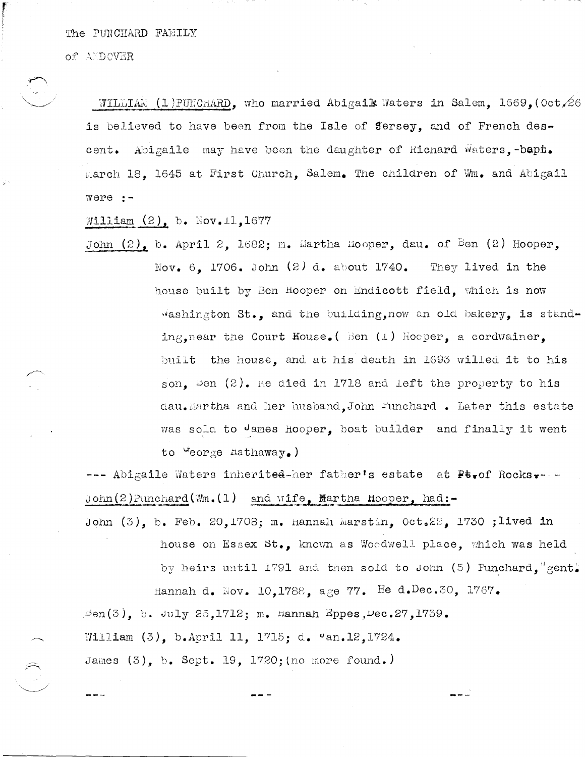The PUNCHARD FAMILY

of ANDOVER

WILLIAM (1) PUNCHARD, who married Abigailk Waters in Salem,  $1669$ , (Oct, 26 is believed to have been from the Isle of fersey, and of French descent. Abigaile may have been the daughter of Richard Waters, -bapt. march 18, 1645 at First Church, Salem. The children of Wm. and Abigail were  $: -$ 

William  $(2)$ , b. Nov. 11, 1677

John  $(2)$ , b. April 2, 1682; m. Martha Hooper, dau. of Ben  $(2)$  Hooper, Nov. 6, 1706. John  $(2)$  d. about 1740. They lived in the house built by Ben Hooper on Endicott field, which is now washington St., and the building, now an old bakery, is standing, near the Court House. (Ben  $(1)$  Hooper, a cordwainer. built the house, and at his death in 1693 willed it to his son. Den  $(2)$ . He died in 1718 and left the property to his dau.Martha and her husband.John Funchard. Later this estate was sola to James Hooper, boat builder and finally it went to  $\texttt{degree}$  hathaway.)

--- Abigaile Waters inherited-her father's estate at Pt.of Rocks.  $\text{John}(2)$  Punchard (Wm. (1) and wife, Martha Hooper, had:-

John (3), b. Feb. 20,1708; m. Hannah Marstin. Oct.22. 1730 ;lived in house on Essex St., known as Woodwell place, which was held by heirs until 1791 and then sold to John (5) Funchard, "gent" Hannah d. Nov. 10,1788, age 77. He d.Dec.30, 1767.

Ben(3), b. July 25,1712; m. mannah Eppes,  $\mathfrak{p}$ ec.27,1739. William (3), b.April 11, 1715; d. "an.12,1724. James  $(3)$ , b. Sept. 19, 1720; (no more found.)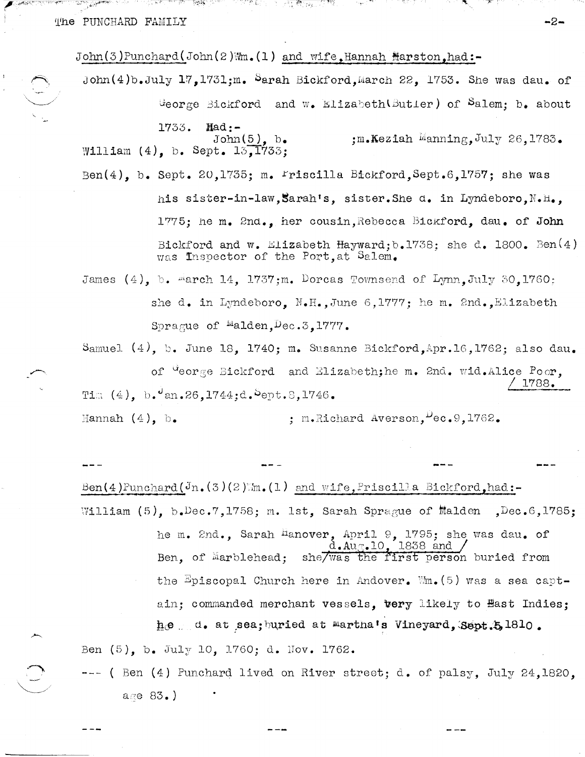The PUNCHARD FAMILY

1000의 3천 전자전 3월월 13개인 12 30개의 실시 남동 활동, 14 7월

 $John(3)Punchard(John(2)Wm.(1) and wife, Hannah Harrison, had:-$ John(4)b.July 17,1731;m. Sarah Bickford, March 22, 1753. She was dau. of George Bickford and w. Elizabeth (Butler) of Salem; b. about  $Had:$  -1733. ;m.Keziah Manning, July 26, 1783.  $John(5)$ ,  $b_{\bullet}$ William  $(4)$ . b. Sept. 13, 1733; Ben(4), b. Sept. 20,1735; m.  $r$ iscilla Bickford, Sept. 6,1757; she was his sister-in-law, Sarah's, sister. She d. in Lyndeboro, N.H., 1775; he m. 2nd., her cousin, Rebecca Bickford, dau. of John

> Bickford and w. Elizabeth Hayward; b.1738; she d. 1800. Ben $(4)$ was Inspector of the Port, at Salem.

James  $(4)$ , b. march 14, 1737;m. Dorcas Townsend of Lynn, July 30, 1760: she d. in Lyndeboro,  $N_{\bullet}H_{\bullet}$ , June 6, 1777; he m. 2nd., Elizabeth Sprague of  $Malden, Dec.3, 1777$ .

Samuel  $(4)$ , b. June 18, 1740; m. Susanne Bickford, Apr.16, 1762; also dau. of "eorge Bickford and Elizabeth; he m. 2nd. wid.Alice Poor, 1788. Tim  $(4)$ , b.  $\alpha$ m. 26, 1744;d.  $\epsilon$ ept. 8, 1746.

; m.Richard Averson,  $\mu$ ec. 9, 1762. Hannah  $(4)$ , b.

Ben(4)Punchard(Jn.(3)(2)Wm.(1) and wife,Priscilla Bickford, had:-William (5), b.Dec.7,1758; m. 1st, Sarah Sprague of Malden , Dec.6,1785; he m. 2nd., Sarah Hanover, April 9, 1795; she was dau. of d.Aug.10, 1838 and / Ben, of Marblehead: she/was the first person buried from the Episcopal Church here in Andover.  $M_n(5)$  was a sea captain; commanded merchant vessels, very likely to Hast Indies;  $h \circ ...$  d. at sea; buried at martha's Vineyard, Sept. 5, 1810.

Ben (5), b. July 10, 1760; d. Nov. 1762.

--- ( Ben (4) Punchard lived on River street; d. of palsy, July 24,1820, age 83.)

 $-2-$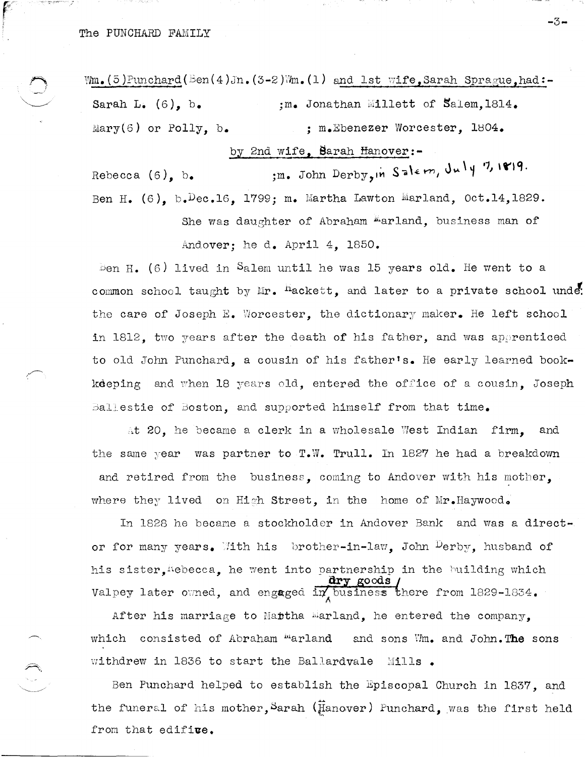ाम् ना खादासम

 $Wm_{\bullet}$  (5) Punchard (Ben(4) Jn. (3-2)  $Wm_{\bullet}$  (1) and lst wife, Sarah Sprague, had:-Sarah L.  $(6)$ , b.  $\ldots$ ; m. Jonathan Millett of Salem, 1814. Mary(6) or Polly,  $b_{\bullet}$ ; m.Ebenezer Worcester, 1804. by 2nd wife, Barah Hanover:-

;m. John Derby, in Salem, July 7, 1819. Rebecca  $(6)$ , b. Ben H. (6), b. Dec. 16, 1799; m. Martha Lawton Marland, Oct. 14, 1829.

> She was daughter of Abraham Marland, business man of Andover; he d. April 4. 1850.

 $-3-$ 

Ben H. (6) lived in Salem until he was 15 years old. He went to a common school taught by Mr. hackett, and later to a private school unde. the care of Joseph E. Worcester, the dictionary maker. He left school in 1812, two years after the death of his father, and was apprenticed to old John Punchard, a cousin of his father's. He early learned bookkeeping and when 18 years old, entered the office of a cousin, Joseph Ballestie of Boston, and supported himself from that time.

at 20, he became a clerk in a wholesale West Indian firm, and the same year was partner to T.W. Trull. In 1827 he had a breakdown and retired from the business, coming to Andover with his mother, where they lived on High Street, in the home of Mr.Haywood.

In 1828 he became a stockholder in Andover Bank and was a director for many years. With his brother-in-law, John Derby, husband of his sister, Hebecca, he went into partnership in the building which **dry** goods Valpey later owned, and engaged in business there from 1829-1834.

After his marriage to Mattha Marland, he entered the company, consisted of Abraham Marland which and sons Wm. and John. The sons withdrew in 1836 to start the Ballardvale Mills.

Ben Punchard helped to establish the Episcopal Church in 1837, and the funeral of his mother, Sarah (Hanover) Punchard, was the first held from that edifive.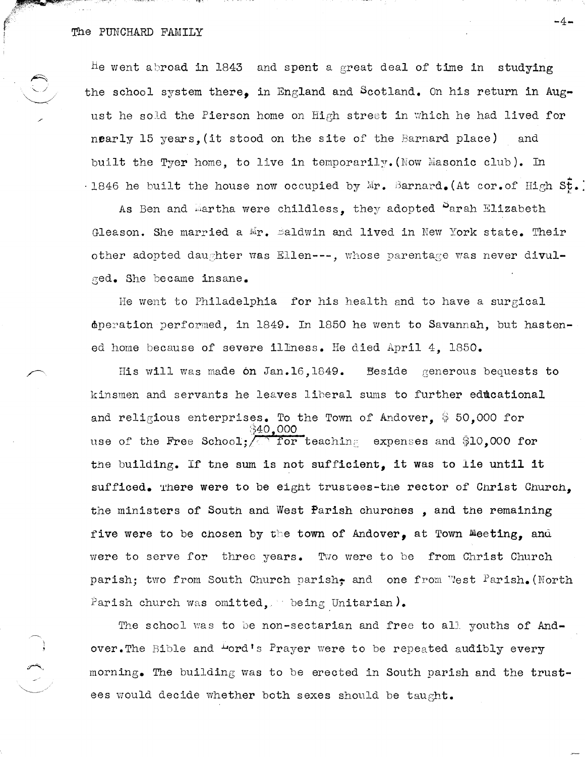The PUNCHARD FAMILY

r<br>F !

ija je poznatelj i poznatelj i poznatelj i poznatelj i poznatelj i poznatelj i poznatelj i poznatelj i poznate<br>Dogodki

He went abroad in 1843 and spent a great deal of time in studying the school system there, in England and Scotland. On his return in August he sold the Pierson home on High street in which he had lived for nearly 15 years, (it stood on the site of the Barnard place) and built the Tyer home, to live in temporarily. (Now Masonic club). In .1846 he built the house now occupied by Mr. Barnard. (At cor.of High  $s\bar{t}$ .)

As Ben and Martha were childless, they adopted <sup>S</sup>arah Elizabeth Gleason. She married a  $Mr_{\bullet}$  saldwin and lived in New York state. Their other adopted daughter was Ellen---, whose parentage was never divulsed. She became insane.

He went to Philadelphia for his health and to have a surgical  $\Delta$   $\alpha$  performed, in 1849. In 1850 he went to Savannah, but hastened home because of severe illness. He died April 4, 1850.

His will was made on Jan.16,1849. Beside generous bequests to kinsmen and servants he leaves liberal sums to further educational and religious enterprises. To the Town of Andover.  $$50,000$  for  $340,000$ use of the Free School;  $\sqrt{2}$  for teaching expenses and \$10,000 for the building. If tne sum is not sufficient, it was to lie until it sufficed. There were to be eight trustees-the rector of Christ Church. the ministers of South and West Parish churches , and the remaining five were to be chosen by the town of Andover, at Town Meeting, and were to serve for three years. Two were to be from Christ Church parish; two from South Church parish, and one from West Parish. (North Parish church was omitted,. being Unitarian).

The school was to be non-sectarian and free to all youths of Andover. The Bible and "ord's Prayer were to be repeated audibly every morning. The building was to be erected in South parish and the trustees would decide whether both sexes should be taught.

-4-